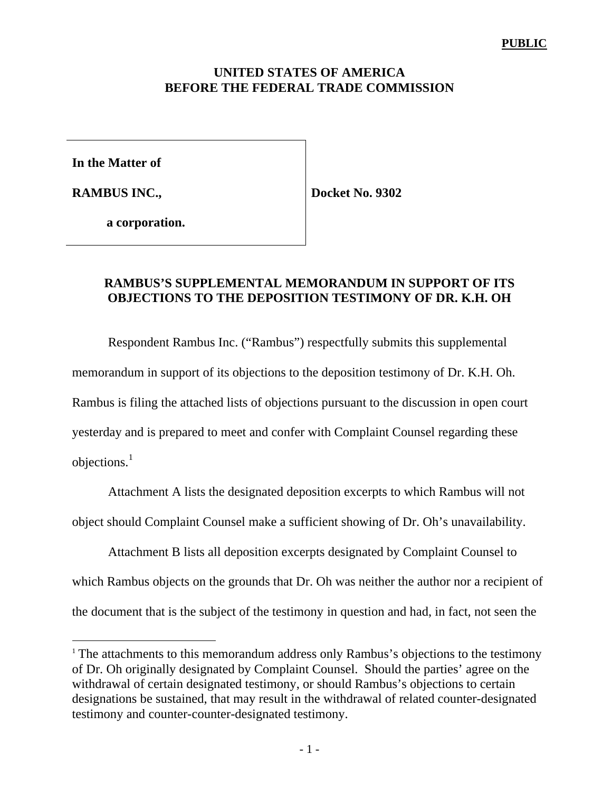#### **UNITED STATES OF AMERICA BEFORE THE FEDERAL TRADE COMMISSION**

**In the Matter of**

**RAMBUS INC.,**

 $\overline{a}$ 

**Docket No. 9302**

**a corporation.**

### **RAMBUS'S SUPPLEMENTAL MEMORANDUM IN SUPPORT OF ITS OBJECTIONS TO THE DEPOSITION TESTIMONY OF DR. K.H. OH**

Respondent Rambus Inc. ("Rambus") respectfully submits this supplemental memorandum in support of its objections to the deposition testimony of Dr. K.H. Oh. Rambus is filing the attached lists of objections pursuant to the discussion in open court yesterday and is prepared to meet and confer with Complaint Counsel regarding these objections. $1$ 

Attachment A lists the designated deposition excerpts to which Rambus will not object should Complaint Counsel make a sufficient showing of Dr. Oh's unavailability.

Attachment B lists all deposition excerpts designated by Complaint Counsel to which Rambus objects on the grounds that Dr. Oh was neither the author nor a recipient of the document that is the subject of the testimony in question and had, in fact, not seen the

<sup>&</sup>lt;sup>1</sup> The attachments to this memorandum address only Rambus's objections to the testimony of Dr. Oh originally designated by Complaint Counsel. Should the parties' agree on the withdrawal of certain designated testimony, or should Rambus's objections to certain designations be sustained, that may result in the withdrawal of related counter-designated testimony and counter-counter-designated testimony.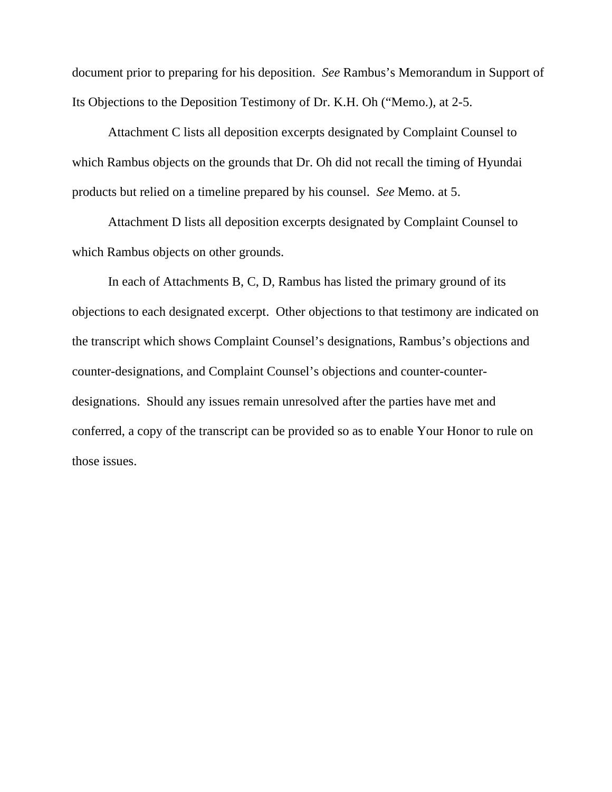document prior to preparing for his deposition. *See* Rambus's Memorandum in Support of Its Objections to the Deposition Testimony of Dr. K.H. Oh ("Memo.), at 2-5.

Attachment C lists all deposition excerpts designated by Complaint Counsel to which Rambus objects on the grounds that Dr. Oh did not recall the timing of Hyundai products but relied on a timeline prepared by his counsel. *See* Memo. at 5.

Attachment D lists all deposition excerpts designated by Complaint Counsel to which Rambus objects on other grounds.

In each of Attachments B, C, D, Rambus has listed the primary ground of its objections to each designated excerpt. Other objections to that testimony are indicated on the transcript which shows Complaint Counsel's designations, Rambus's objections and counter-designations, and Complaint Counsel's objections and counter-counterdesignations. Should any issues remain unresolved after the parties have met and conferred, a copy of the transcript can be provided so as to enable Your Honor to rule on those issues.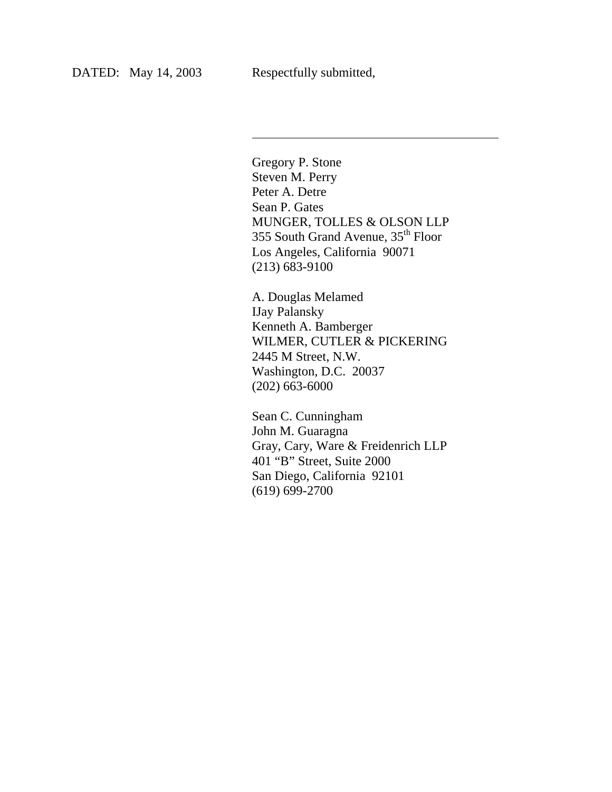l

Gregory P. Stone Steven M. Perry Peter A. Detre Sean P. Gates MUNGER, TOLLES & OLSON LLP 355 South Grand Avenue, 35<sup>th</sup> Floor Los Angeles, California 90071 (213) 683-9100

A. Douglas Melamed IJay Palansky Kenneth A. Bamberger WILMER, CUTLER & PICKERING 2445 M Street, N.W. Washington, D.C. 20037 (202) 663-6000

Sean C. Cunningham John M. Guaragna Gray, Cary, Ware & Freidenrich LLP 401 "B" Street, Suite 2000 San Diego, California 92101 (619) 699-2700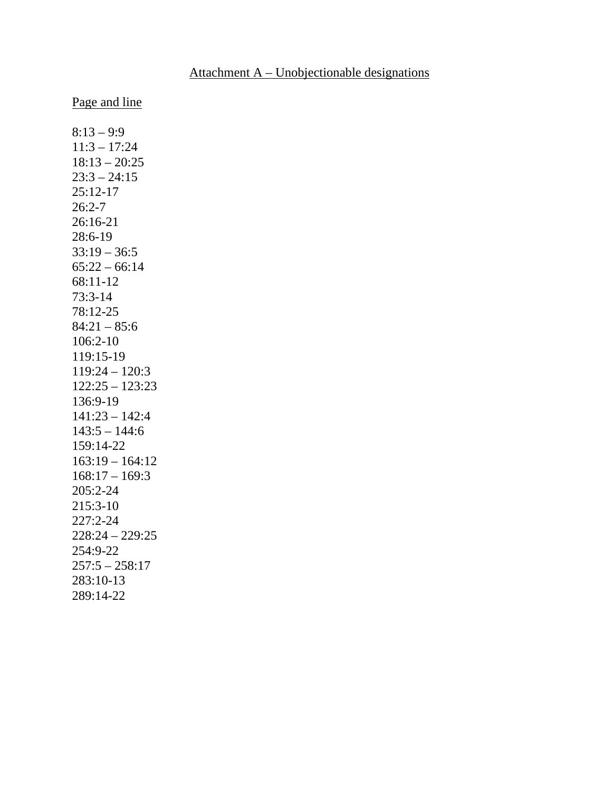### Attachment A – Unobjectionable designations

Page and line

 $8:13 - 9:9$ 11:3 – 17:24 18:13 – 20:25  $23:3 - 24:15$ 25:12-17 26:2-7 26:16-21 28:6-19  $33:19 - 36:5$  $65:22 - 66:14$ 68:11-12 73:3-14 78:12-25  $84:21 - 85:6$ 106:2-10 119:15-19 119:24 – 120:3 122:25 – 123:23 136:9-19 141:23 – 142:4  $143:5 - 144:6$ 159:14-22  $163:19 - 164:12$  $168:17 - 169:3$ 205:2-24 215:3-10 227:2-24 228:24 – 229:25 254:9-22 257:5 – 258:17 283:10-13 289:14-22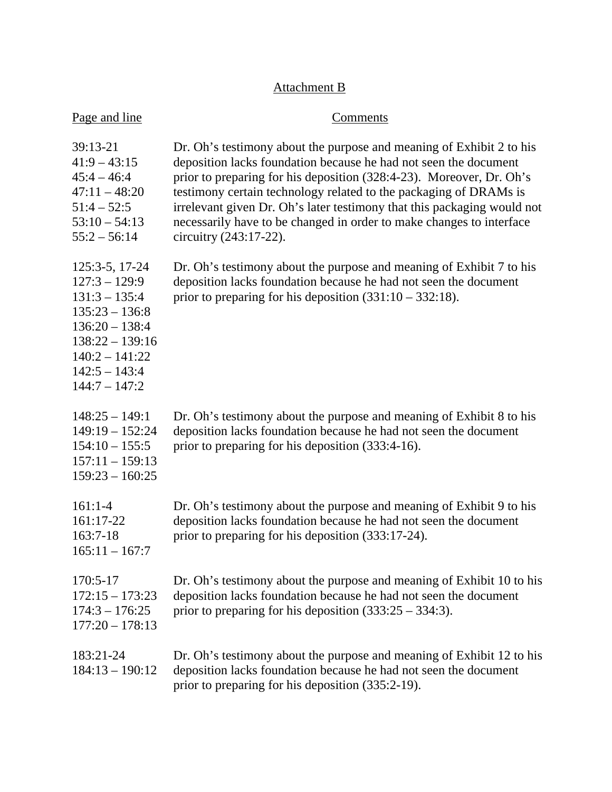# Attachment B

| Page and line                                                                                                                                                               | Comments                                                                                                                                                                                                                                                                                                                                                                                                                                                           |
|-----------------------------------------------------------------------------------------------------------------------------------------------------------------------------|--------------------------------------------------------------------------------------------------------------------------------------------------------------------------------------------------------------------------------------------------------------------------------------------------------------------------------------------------------------------------------------------------------------------------------------------------------------------|
| 39:13-21<br>$41:9 - 43:15$<br>$45:4 - 46:4$<br>$47:11 - 48:20$<br>$51:4 - 52:5$<br>$53:10 - 54:13$<br>$55:2 - 56:14$                                                        | Dr. Oh's testimony about the purpose and meaning of Exhibit 2 to his<br>deposition lacks foundation because he had not seen the document<br>prior to preparing for his deposition (328:4-23). Moreover, Dr. Oh's<br>testimony certain technology related to the packaging of DRAMs is<br>irrelevant given Dr. Oh's later testimony that this packaging would not<br>necessarily have to be changed in order to make changes to interface<br>circuitry (243:17-22). |
| 125:3-5, 17-24<br>$127:3 - 129:9$<br>$131:3 - 135:4$<br>$135:23 - 136:8$<br>$136:20 - 138:4$<br>$138:22 - 139:16$<br>$140:2 - 141:22$<br>$142:5 - 143:4$<br>$144:7 - 147:2$ | Dr. Oh's testimony about the purpose and meaning of Exhibit 7 to his<br>deposition lacks foundation because he had not seen the document<br>prior to preparing for his deposition $(331:10 - 332:18)$ .                                                                                                                                                                                                                                                            |
| $148:25 - 149:1$<br>$149:19 - 152:24$<br>$154:10 - 155:5$<br>$157:11 - 159:13$<br>$159:23 - 160:25$                                                                         | Dr. Oh's testimony about the purpose and meaning of Exhibit 8 to his<br>deposition lacks foundation because he had not seen the document<br>prior to preparing for his deposition (333:4-16).                                                                                                                                                                                                                                                                      |
| $161:1-4$<br>161:17-22<br>163:7-18<br>$165:11 - 167:7$                                                                                                                      | Dr. Oh's testimony about the purpose and meaning of Exhibit 9 to his<br>deposition lacks foundation because he had not seen the document<br>prior to preparing for his deposition (333:17-24).                                                                                                                                                                                                                                                                     |
| 170:5-17<br>$172:15 - 173:23$<br>$174:3 - 176:25$<br>$177:20 - 178:13$                                                                                                      | Dr. Oh's testimony about the purpose and meaning of Exhibit 10 to his<br>deposition lacks foundation because he had not seen the document<br>prior to preparing for his deposition $(333:25 - 334:3)$ .                                                                                                                                                                                                                                                            |
| 183:21-24<br>$184:13 - 190:12$                                                                                                                                              | Dr. Oh's testimony about the purpose and meaning of Exhibit 12 to his<br>deposition lacks foundation because he had not seen the document<br>prior to preparing for his deposition (335:2-19).                                                                                                                                                                                                                                                                     |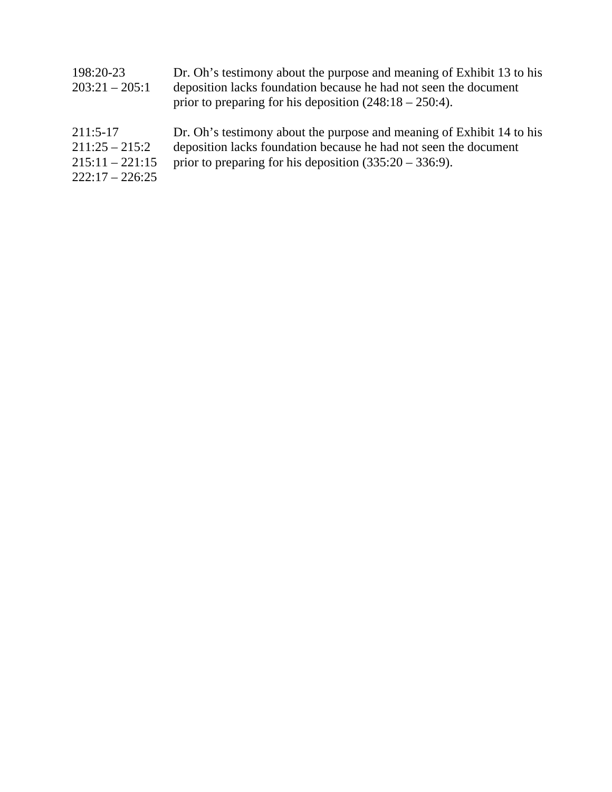| 198:20-23<br>$203:21 - 205:1$                                            | Dr. Oh's testimony about the purpose and meaning of Exhibit 13 to his<br>deposition lacks foundation because he had not seen the document<br>prior to preparing for his deposition $(248.18 - 250.4)$ . |
|--------------------------------------------------------------------------|---------------------------------------------------------------------------------------------------------------------------------------------------------------------------------------------------------|
| $211:5-17$<br>$211:25 - 215:2$<br>$215:11 - 221:15$<br>$222:17 - 226:25$ | Dr. Oh's testimony about the purpose and meaning of Exhibit 14 to his<br>deposition lacks foundation because he had not seen the document<br>prior to preparing for his deposition $(335:20 - 336:9)$ . |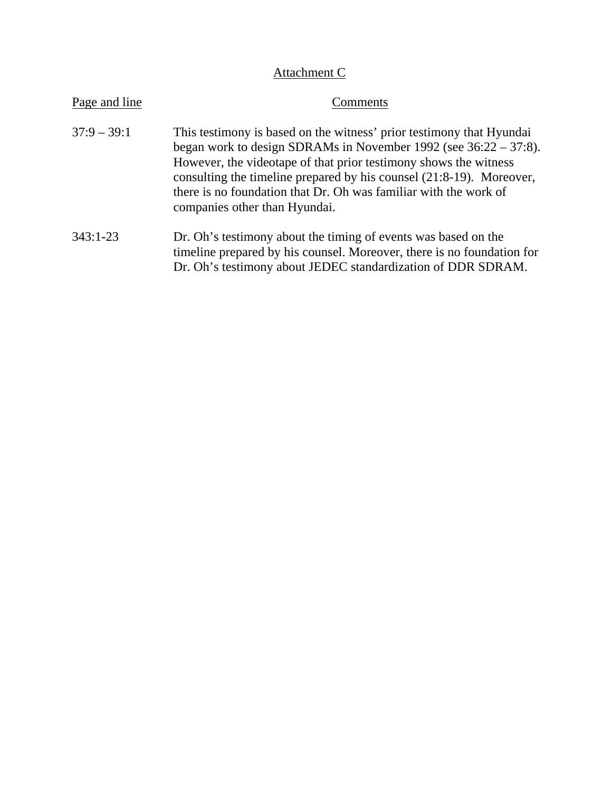# Attachment C

| Page and line | Comments                                                                                                                                                                                                                                                                                                                                                                                     |
|---------------|----------------------------------------------------------------------------------------------------------------------------------------------------------------------------------------------------------------------------------------------------------------------------------------------------------------------------------------------------------------------------------------------|
| $37:9 - 39:1$ | This testimony is based on the witness' prior testimony that Hyundai<br>began work to design SDRAMs in November 1992 (see $36:22 - 37:8$ ).<br>However, the videotape of that prior testimony shows the witness<br>consulting the timeline prepared by his counsel (21:8-19). Moreover,<br>there is no foundation that Dr. Oh was familiar with the work of<br>companies other than Hyundai. |
| $343:1-23$    | Dr. Oh's testimony about the timing of events was based on the<br>timeline prepared by his counsel. Moreover, there is no foundation for<br>Dr. Oh's testimony about JEDEC standardization of DDR SDRAM.                                                                                                                                                                                     |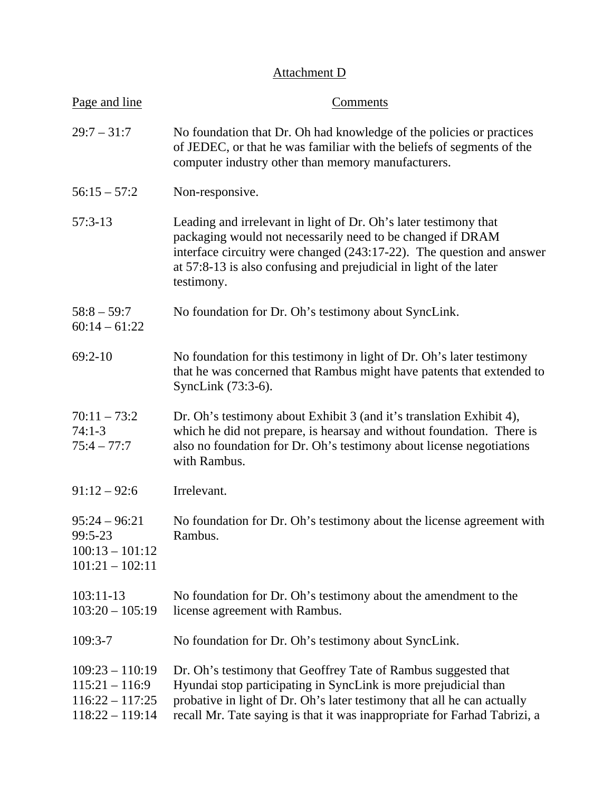# Attachment D

| Page and line                                                                   | Comments                                                                                                                                                                                                                                                                                    |
|---------------------------------------------------------------------------------|---------------------------------------------------------------------------------------------------------------------------------------------------------------------------------------------------------------------------------------------------------------------------------------------|
| $29:7 - 31:7$                                                                   | No foundation that Dr. Oh had knowledge of the policies or practices<br>of JEDEC, or that he was familiar with the beliefs of segments of the<br>computer industry other than memory manufacturers.                                                                                         |
| $56:15 - 57:2$                                                                  | Non-responsive.                                                                                                                                                                                                                                                                             |
| $57:3-13$                                                                       | Leading and irrelevant in light of Dr. Oh's later testimony that<br>packaging would not necessarily need to be changed if DRAM<br>interface circuitry were changed (243:17-22). The question and answer<br>at 57:8-13 is also confusing and prejudicial in light of the later<br>testimony. |
| $58:8 - 59:7$<br>$60:14 - 61:22$                                                | No foundation for Dr. Oh's testimony about SyncLink.                                                                                                                                                                                                                                        |
| $69:2-10$                                                                       | No foundation for this testimony in light of Dr. Oh's later testimony<br>that he was concerned that Rambus might have patents that extended to<br>SyncLink (73:3-6).                                                                                                                        |
| $70:11 - 73:2$<br>$74:1-3$<br>$75:4 - 77:7$                                     | Dr. Oh's testimony about Exhibit 3 (and it's translation Exhibit 4),<br>which he did not prepare, is hearsay and without foundation. There is<br>also no foundation for Dr. Oh's testimony about license negotiations<br>with Rambus.                                                       |
| $91:12 - 92:6$                                                                  | Irrelevant.                                                                                                                                                                                                                                                                                 |
| $95:24 - 96:21$<br>99:5-23<br>$100:13 - 101:12$<br>$101:21 - 102:11$            | No foundation for Dr. Oh's testimony about the license agreement with<br>Rambus                                                                                                                                                                                                             |
| $103:11-13$<br>$103:20 - 105:19$                                                | No foundation for Dr. Oh's testimony about the amendment to the<br>license agreement with Rambus.                                                                                                                                                                                           |
| $109:3-7$                                                                       | No foundation for Dr. Oh's testimony about SyncLink.                                                                                                                                                                                                                                        |
| $109:23 - 110:19$<br>$115:21 - 116:9$<br>$116:22 - 117:25$<br>$118:22 - 119:14$ | Dr. Oh's testimony that Geoffrey Tate of Rambus suggested that<br>Hyundai stop participating in SyncLink is more prejudicial than<br>probative in light of Dr. Oh's later testimony that all he can actually<br>recall Mr. Tate saying is that it was inappropriate for Farhad Tabrizi, a   |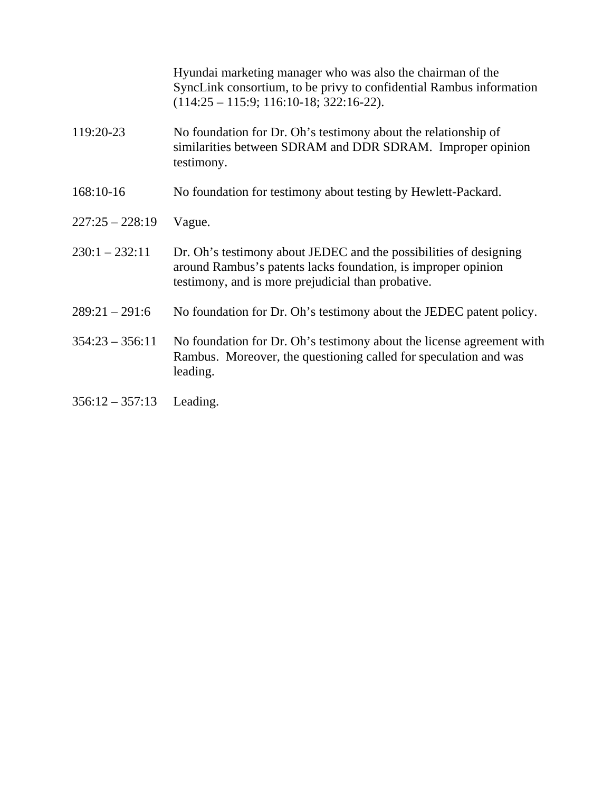Hyundai marketing manager who was also the chairman of the SyncLink consortium, to be privy to confidential Rambus information (114:25 – 115:9; 116:10-18; 322:16-22).

- 119:20-23 No foundation for Dr. Oh's testimony about the relationship of similarities between SDRAM and DDR SDRAM. Improper opinion testimony.
- 168:10-16 No foundation for testimony about testing by Hewlett-Packard.
- 227:25 228:19 Vague.
- $230:1 232:11$  Dr. Oh's testimony about JEDEC and the possibilities of designing around Rambus's patents lacks foundation, is improper opinion testimony, and is more prejudicial than probative.
- $289:21 291:6$  No foundation for Dr. Oh's testimony about the JEDEC patent policy.
- 354:23 356:11 No foundation for Dr. Oh's testimony about the license agreement with Rambus. Moreover, the questioning called for speculation and was leading.
- 356:12 357:13 Leading.